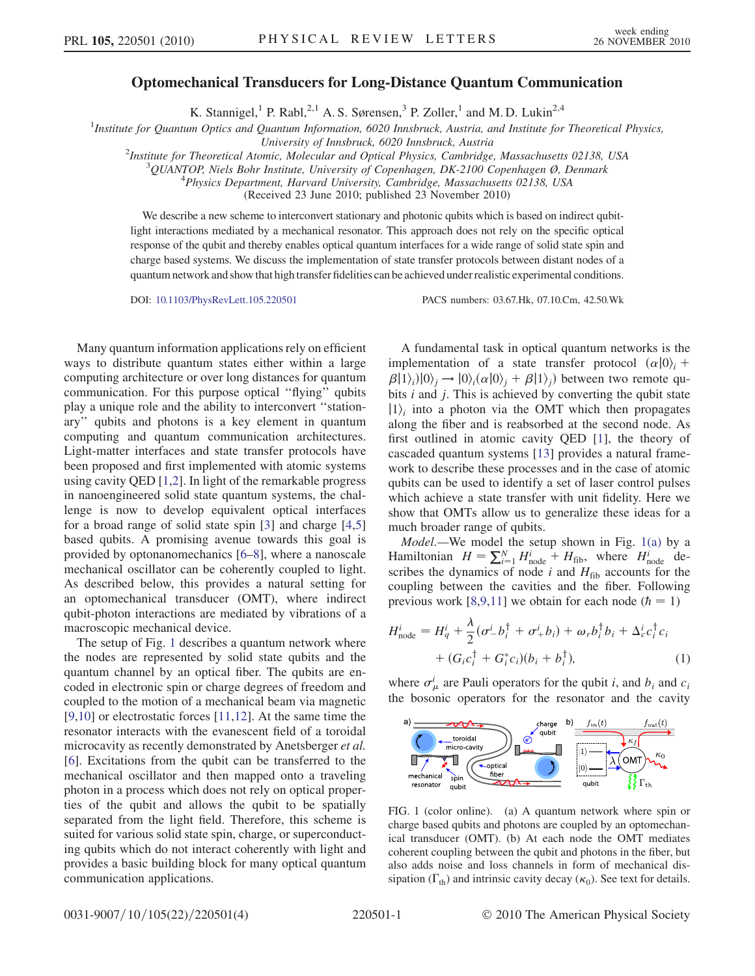## Optomechanical Transducers for Long-Distance Quantum Communication

K. Stannigel,<sup>1</sup> P. Rabl,<sup>2,1</sup> A. S. Sørensen,<sup>3</sup> P. Zoller,<sup>1</sup> and M. D. Lukin<sup>2,4</sup>

<sup>1</sup>Institute for Quantum Optics and Quantum Information, 6020 Innsbruck, Austria, and Institute for Theoretical Physics,

University of Innsbruck, 6020 Innsbruck, Austria<br><sup>2</sup>Institute for Theoretical Atomic, Molecular and Optical Physics, Cambridge

Institute for Theoretical Atomic, Molecular and Optical Physics, Cambridge, Massachusetts 02138, USA <sup>3</sup>

 $\frac{3}{2}$ QUANTOP, Niels Bohr Institute, University of Copenhagen, DK-2100 Copenhagen  $\emptyset$ , Denmark

 $^{4}$ Physics Department, Harvard University, Cambridge, Massachusetts 02138, USA

(Received 23 June 2010; published 23 November 2010)

We describe a new scheme to interconvert stationary and photonic qubits which is based on indirect qubitlight interactions mediated by a mechanical resonator. This approach does not rely on the specific optical response of the qubit and thereby enables optical quantum interfaces for a wide range of solid state spin and charge based systems. We discuss the implementation of state transfer protocols between distant nodes of a quantum network and show that high transfer fidelities can be achieved under realistic experimental conditions.

DOI: [10.1103/PhysRevLett.105.220501](http://dx.doi.org/10.1103/PhysRevLett.105.220501) PACS numbers: 03.67.Hk, 07.10.Cm, 42.50.Wk

Many quantum information applications rely on efficient ways to distribute quantum states either within a large computing architecture or over long distances for quantum communication. For this purpose optical ''flying'' qubits play a unique role and the ability to interconvert ''stationary'' qubits and photons is a key element in quantum computing and quantum communication architectures. Light-matter interfaces and state transfer protocols have been proposed and first implemented with atomic systems using cavity QED [\[1](#page-3-0),[2](#page-3-1)]. In light of the remarkable progress in nanoengineered solid state quantum systems, the challenge is now to develop equivalent optical interfaces for a broad range of solid state spin [\[3\]](#page-3-2) and charge [\[4](#page-3-3)[,5\]](#page-3-4) based qubits. A promising avenue towards this goal is provided by optonanomechanics [[6](#page-3-5)[–8\]](#page-3-6), where a nanoscale mechanical oscillator can be coherently coupled to light. As described below, this provides a natural setting for an optomechanical transducer (OMT), where indirect qubit-photon interactions are mediated by vibrations of a macroscopic mechanical device.

The setup of Fig. [1](#page-0-0) describes a quantum network where the nodes are represented by solid state qubits and the quantum channel by an optical fiber. The qubits are encoded in electronic spin or charge degrees of freedom and coupled to the motion of a mechanical beam via magnetic [\[9,](#page-3-7)[10\]](#page-3-8) or electrostatic forces [\[11](#page-3-9)[,12\]](#page-3-10). At the same time the resonator interacts with the evanescent field of a toroidal microcavity as recently demonstrated by Anetsberger et al. [\[6\]](#page-3-5). Excitations from the qubit can be transferred to the mechanical oscillator and then mapped onto a traveling photon in a process which does not rely on optical properties of the qubit and allows the qubit to be spatially separated from the light field. Therefore, this scheme is suited for various solid state spin, charge, or superconducting qubits which do not interact coherently with light and provides a basic building block for many optical quantum communication applications.

A fundamental task in optical quantum networks is the implementation of a state transfer protocol  $(\alpha|0\rangle_i$  +  $\beta$ [1)<sub>i</sub>)[0)<sub>j</sub>  $\rightarrow$  [0)<sub>i</sub>( $\alpha$ [0)<sub>j</sub> +  $\beta$ [1)<sub>j</sub>) between two remote qu-<br>hits *i* and *i*. This is achieved by converting the qubit state bits  $i$  and  $j$ . This is achieved by converting the qubit state  $|1\rangle$  into a photon via the OMT which then propagates along the fiber and is reabsorbed at the second node. As first outlined in atomic cavity QED [[1\]](#page-3-0), the theory of cascaded quantum systems [[13](#page-3-11)] provides a natural framework to describe these processes and in the case of atomic qubits can be used to identify a set of laser control pulses which achieve a state transfer with unit fidelity. Here we show that OMTs allow us to generalize these ideas for a much broader range of qubits.

Model.—We model the setup shown in Fig. [1\(a\)](#page-0-1) by a Hamiltonian  $H = \sum_{i=1}^{N} H_{\text{node}}^i + H_{\text{fib}}$ , where  $H_{\text{node}}^i$  de-<br>scribes the dynamics of node *i* and  $H_{\text{rel}}$  accounts for the scribes the dynamics of node i and  $H_{\text{fib}}$  accounts for the coupling between the cavities and the fiber. Following previous work [[8,](#page-3-6)[9](#page-3-7)[,11\]](#page-3-9) we obtain for each node  $(h = 1)$ 

<span id="page-0-2"></span>
$$
H_{\text{node}}^i = H_q^i + \frac{\lambda}{2} (\sigma_-^i b_i^{\dagger} + \sigma_+^i b_i) + \omega_r b_i^{\dagger} b_i + \Delta_c^i c_i^{\dagger} c_i
$$
  
+ 
$$
(G_i c_i^{\dagger} + G_i^* c_i)(b_i + b_i^{\dagger}), \qquad (1)
$$

where  $\sigma^i_\mu$  are Pauli operators for the qubit i, and  $b_i$  and  $c_i$ the bosonic operators for the resonator and the cavity

<span id="page-0-0"></span>

<span id="page-0-1"></span>FIG. 1 (color online). (a) A quantum network where spin or charge based qubits and photons are coupled by an optomechanical transducer (OMT). (b) At each node the OMT mediates coherent coupling between the qubit and photons in the fiber, but also adds noise and loss channels in form of mechanical dissipation ( $\Gamma_{\text{th}}$ ) and intrinsic cavity decay ( $\kappa_0$ ). See text for details.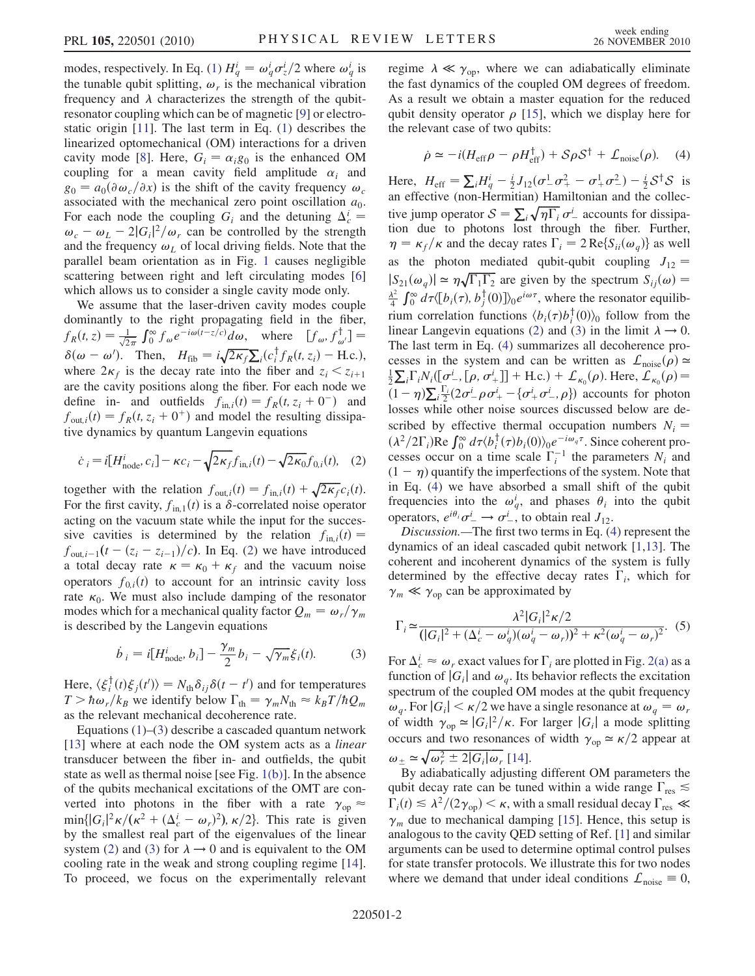modes, respectively. In Eq. [\(1\)](#page-0-2)  $H_q^i = \omega_q^i \sigma_z^i/2$  where  $\omega_q^i$  is the mechanical vibration the tunable qubit splitting,  $\omega_r$  is the mechanical vibration frequency and  $\lambda$  characterizes the strength of the qubitresonator coupling which can be of magnetic [\[9](#page-3-7)] or electrostatic origin [[11](#page-3-9)]. The last term in Eq. [\(1\)](#page-0-2) describes the linearized optomechanical (OM) interactions for a driven cavity mode [[8\]](#page-3-6). Here,  $G_i = \alpha_i g_0$  is the enhanced OM coupling for a mean cavity field amplitude  $\alpha_i$  and  $g_0 = a_0(\partial \omega_c/\partial x)$  is the shift of the cavity frequency  $\omega_c$ associated with the mechanical zero point oscillation  $a_0$ . For each node the coupling  $G_i$  and the detuning  $\Delta_c^i$  = For each hode the coupling  $G_i$  and the detuning  $\Delta_c - \omega_c - \omega_L - 2|G_i|^2/\omega_r$  can be controlled by the strength and the frequency  $\omega_k$  of local driving fields. Note that the and the frequency  $\omega_L$  of local driving fields. Note that the parallel beam orientation as in Fig. [1](#page-0-0) causes negligible scattering between right and left circulating modes [\[6\]](#page-3-5) which allows us to consider a single cavity mode only.

We assume that the laser-driven cavity modes couple dominantly to the right propagating field in the fiber,  $f_R(t, z) = \frac{1}{\sqrt{2\pi}} \int_0^\infty f_\omega e^{-i\omega(t-z/c)} d\omega$ , where  $[f_\omega, f_{\omega'}^\dagger] =$  $\delta(\omega - \omega')$ . Then,  $H_{\text{fib}} = i\sqrt{2\kappa_f} \sum_i (c_i^{\dagger} f_R(t, z_i) - \text{H.c.})$ , where  $2\kappa_i$  is the decay rate into the fiber and  $z_i \leq z_i$ . where  $2\kappa_f$  is the decay rate into the fiber and  $z_i < z_{i+1}$ are the cavity positions along the fiber. For each node we define in- and outfields  $f_{\text{in},i}(t) = f_R(t, z_i + 0^{-})$  and  $f_{\text{out},i}(t) = f_R(t, z_i + 0^+)$  and model the resulting dissipative dynamics by quantum Langevin equations

<span id="page-1-0"></span>
$$
\dot{c}_i = i[H_{\text{node}}^i, c_i] - \kappa c_i - \sqrt{2\kappa_f} f_{\text{in},i}(t) - \sqrt{2\kappa_0} f_{0,i}(t), \quad (2)
$$

together with the relation  $f_{\text{out},i}(t) = f_{\text{in},i}(t) + \sqrt{2\kappa_f}c_i(t)$ .<br>For the first cavity  $f_{\text{out}}(t)$  is a  $\delta$ -correlated noise operator For the first cavity,  $f_{in,1}(t)$  is a  $\delta$ -correlated noise operator acting on the vacuum state while the input for the successive cavities is determined by the relation  $f_{in,i}(t) =$  $f_{\text{out},i-1}(t-(z_i - z_{i-1})/c)$ . In Eq. ([2\)](#page-1-0) we have introduced a total decay rate  $\kappa = \kappa_0 + \kappa_f$  and the vacuum noise operators  $f_{0,i}(t)$  to account for an intrinsic cavity loss rate  $\kappa_0$ . We must also include damping of the resonator modes which for a mechanical quality factor  $Q_m = \omega_r / \gamma_m$ is described by the Langevin equations

<span id="page-1-1"></span>
$$
\dot{b}_i = i[H_{\text{node}}^i, b_i] - \frac{\gamma_m}{2}b_i - \sqrt{\gamma_m}\xi_i(t). \tag{3}
$$

Here,  $\langle \xi_i^T(t) \xi_j(t') \rangle = N_{th} \delta_{ij} \delta(t-t')$  and for temperatures<br> $T > \hbar \omega/k_c$ , we identify below  $\Gamma_{ij} = \alpha_j N_{ij} \approx k_c T/\hbar Q$  $T > \hbar \omega_r / k_B$  we identify below  $\Gamma_{\text{th}} = \gamma_m N_{\text{th}} \approx k_B T / \hbar Q_m$ <br>as the relevant mechanical decoherence rate as the relevant mechanical decoherence rate.

Equations [\(1](#page-0-2))–([3\)](#page-1-1) describe a cascaded quantum network [\[13\]](#page-3-11) where at each node the OM system acts as a *linear* transducer between the fiber in- and outfields, the qubit state as well as thermal noise [see Fig. [1\(b\)\]](#page-0-1). In the absence of the qubits mechanical excitations of the OMT are converted into photons in the fiber with a rate  $\gamma_{op} \approx$  $\min\{|G_i|^2 \kappa/(\kappa^2 + (\Delta_c^i - \omega_r)^2), \kappa/2\}$ . This rate is given<br>by the smallest real part of the eigenvalues of the linear by the smallest real part of the eigenvalues of the linear system ([2\)](#page-1-0) and [\(3](#page-1-1)) for  $\lambda \rightarrow 0$  and is equivalent to the OM cooling rate in the weak and strong coupling regime [\[14\]](#page-3-12). To proceed, we focus on the experimentally relevant regime  $\lambda \ll \gamma_{\rm op}$ , where we can adiabatically eliminate the fast dynamics of the coupled OM degrees of freedom. As a result we obtain a master equation for the reduced qubit density operator  $\rho$  [[15](#page-3-13)], which we display here for the relevant case of two qubits:

<span id="page-1-2"></span>
$$
\dot{\rho} \simeq -i(H_{\rm eff}\rho - \rho H_{\rm eff}^{\dagger}) + S\rho S^{\dagger} + \mathcal{L}_{\rm noise}(\rho). \quad (4)
$$

Here,  $H_{\text{eff}} = \sum_{i} H_{q}^{i} - \frac{i}{2} J_{12} (\sigma_{-}^{1} \sigma_{+}^{2} - \sigma_{+}^{1} \sigma_{-}^{2}) - \frac{i}{2} S^{\dagger} S$  is an effective (non-Hermitian) Hamiltonian and the collective jump operator  $S = \sum_i \sqrt{\eta \Gamma_i} \sigma^i$  accounts for dissipa-<br>tion due to photons lost through the fiber. Further tion due to photons lost through the fiber. Further,  $\eta = \kappa_f / \kappa$  and the decay rates  $\Gamma_i = 2 \text{Re} \{ S_{ii}(\omega_q) \}$  as well as the photon mediated qubit-qubit coupling  $J_{12}$  =  $|S_{21}(\omega_q)| \simeq \eta \sqrt{\Gamma_1 \Gamma_2}$  are given by the spectrum  $S_{ij}(\omega) =$ <br> $\lambda^2 \int_{-\infty}^{\infty} J_{-1}(\omega) J_{-1}(\omega) J_{-1}(\omega)$  $\frac{\lambda^2}{4} \int_0^\infty d\tau \langle [b_i(\tau), b_j^{\dagger}(0)] \rangle_0 e^{i\omega \tau}$ , where the resonator equilibrium correlation functions  $\langle b_i(\tau) b_i^{\dagger}(0) \rangle_0$  follow from the limit  $\lambda \to 0$ linear Langevin equations [\(2\)](#page-1-0) and ([3\)](#page-1-1) in the limit  $\lambda \rightarrow 0$ . The last term in Eq. ([4\)](#page-1-2) summarizes all decoherence processes in the system and can be written as  $\mathcal{L}_{noise}(\rho) \simeq$  $\frac{1}{2}\sum_{i}\Gamma_{i}N_{i}([\sigma_{-}^{i},[\rho,\sigma_{+}^{i}]] + \text{H.c.}) + \mathcal{L}_{\kappa_{0}}(\rho).$  Here,  $\mathcal{L}_{\kappa_{0}}(\rho) =$ <br>(1,  $\sum_{i} \Gamma_{i}(\rho, \sigma_{i}^{i}, \rho, \sigma_{i}^{i} - [\sigma_{i}^{i}, \sigma_{i}^{i}, \rho]]$ ) assembts for photon  $\bar{(1-\eta)\sum_{i}}$  $\frac{\Gamma_i}{2} (2\sigma^i \rho \sigma^i + \{\sigma^i + \sigma^i \rho\})$  accounts for photon<br>is other poise sources discussed below are delosses while other noise sources discussed below are described by effective thermal occupation numbers  $N_i =$  $(\lambda^2/2\Gamma_i)$ Re  $\int_0^\infty d\tau \langle b_i^{\dagger}(\tau) b_i(0) \rangle_0 e^{-i\omega_q \tau}$ . Since coherent processes occur on a time scale  $\Gamma_i^{-1}$  the parameters  $N_i$  and  $(1 - \eta)$  quantify the imperfections of the system. Note that in Eq. [\(4\)](#page-1-2) we have absorbed a small shift of the qubit frequencies into the  $\omega_q^i$ , and phases  $\theta_i$  into the qubit operators,  $e^{i\theta_i} \sigma^i$   $\rightarrow \sigma^i$ , to obtain real  $J_{12}$ .<br>Discussion —The first two terms in Eq. (4)

Discussion.—The first two terms in Eq. [\(4](#page-1-2)) represent the dynamics of an ideal cascaded qubit network [[1](#page-3-0),[13](#page-3-11)]. The coherent and incoherent dynamics of the system is fully determined by the effective decay rates  $\Gamma_i$ , which for  $\gamma_m \ll \gamma_{op}$  can be approximated by

<span id="page-1-3"></span>
$$
\Gamma_i \simeq \frac{\lambda^2 |G_i|^2 \kappa / 2}{(|G_i|^2 + (\Delta_c^i - \omega_q^i)(\omega_q^i - \omega_r))^2 + \kappa^2 (\omega_q^i - \omega_r)^2}.
$$
 (5)

For  $\Delta_c^i \approx \omega_r$  exact values for  $\Gamma_i$  are plotted in Fig. [2\(a\)](#page-2-0) as a function of  $|G_i|$  and  $\omega$ . Its behavior reflects the excitation function of  $|G_i|$  and  $\omega_q$ . Its behavior reflects the excitation spectrum of the coupled OM modes at the qubit frequency  $\omega_a$ . For  $|G_i| < \kappa/2$  we have a single resonance at  $\omega_a = \omega_r$ of width  $\gamma_{op} \simeq |G_i|^2 / \kappa$ . For larger  $|G_i|$  a mode splitting<br>occurs and two resonances of width  $\gamma_{op} \simeq \kappa/2$  appear at occurs and two resonances of width  $\gamma_{op} \simeq \kappa/2$  appear at  $\omega_{\pm} \simeq \sqrt{\omega_r^2 \pm 2|G_i|\omega_r}$  [[14](#page-3-12)].<br>By adjabatically adjusting

By adiabatically adjusting different OM parameters the qubit decay rate can be tuned within a wide range  $\Gamma_{\text{res}} \lesssim$  $\Gamma_i(t) \leq \lambda^2/(2\gamma_{\rm op}) < \kappa$ , with a small residual decay  $\Gamma_{\rm res} \ll \gamma_{\rm op}$  $\gamma_m$  due to mechanical damping [\[15\]](#page-3-13). Hence, this setup is analogous to the cavity QED setting of Ref. [\[1\]](#page-3-0) and similar arguments can be used to determine optimal control pulses for state transfer protocols. We illustrate this for two nodes where we demand that under ideal conditions  $\mathcal{L}_{noise} \equiv 0$ ,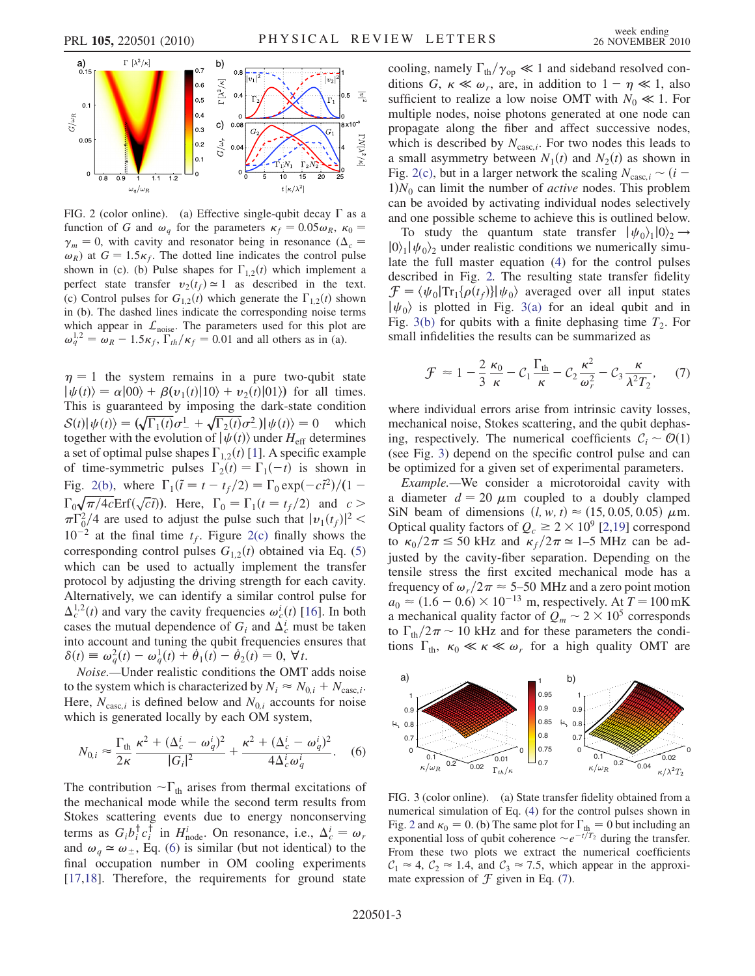<span id="page-2-2"></span>

<span id="page-2-0"></span>FIG. 2 (color online). (a) Effective single-qubit decay  $\Gamma$  as a function of G and  $\omega_q$  for the parameters  $\kappa_f = 0.05 \omega_R$ ,  $\kappa_0 =$  $\gamma_m = 0$ , with cavity and resonator being in resonance ( $\Delta_c =$  $\omega_R$ ) at  $G = 1.5\kappa_f$ . The dotted line indicates the control pulse shown in (c). (b) Pulse shapes for  $\Gamma_{1,2}(t)$  which implement a<br>perfect state transfer  $v_0(t_0) \approx 1$  as described in the text perfect state transfer  $v_2(t_f) \approx 1$  as described in the text. (c) Control pulses for  $G_{1,2}(t)$  which generate the  $\Gamma_{1,2}(t)$  shown<br>in (b). The dashed lines indicate the corresponding noise terms in (b). The dashed lines indicate the corresponding noise terms which appear in  $\mathcal{L}_{noise}$ . The parameters used for this plot are  $\omega_q^{1,2} = \omega_R - 1.5\kappa_f, \Gamma_{th}/\kappa_f = 0.01$  and all others as in (a).

 $\eta = 1$  the system remains in a pure two-qubit state  $|\psi(t)\rangle = \alpha|00\rangle + \beta(v_1(t)|10\rangle + v_2(t)|01\rangle)$  for all times.<br>This is guaranteed by imposing the dark-state condition This is guaranteed by imposing the dark-state condition  $S(t)|\psi(t)\rangle = (\sqrt{\Gamma_1(t)}\sigma_-^1 + \sqrt{\Gamma_2(t)}\sigma_-^2)|\psi(t)\rangle = 0$  which<br>together with the evolution of  $|\psi(t)\rangle$  under H  $_{\alpha}$  determines together with the evolution of  $|\psi(t)\rangle$  under  $H_{\text{eff}}$  determines a set of optimal pulse shapes  $\Gamma_{1,2}(t)$  [\[1](#page-3-0)]. A specific example<br>of time-symmetric pulses  $\Gamma_{+}(t) = \Gamma_{+}(-t)$  is shown in of time-symmetric pulses  $\Gamma_2(t) = \Gamma_1(-t)$  is shown in<br>Eig. 2(b) where  $\Gamma_1(\tilde{z} - t + t/2) = \Gamma_2 \exp(-\tilde{z}^2)/((1-\tilde{z}^2))$ Fig. [2\(b\),](#page-2-0) where  $\Gamma_1(\tilde{t} = t - t_f/2) = \Gamma_0 \exp(-c\tilde{t}^2)/(1 \Gamma_0 \sqrt{\pi/4c} \text{Erf}(\sqrt{c}\tilde{t})$ . Here,  $\Gamma_0 = \Gamma_1(t = t_f/2)$  and  $c > \pi \Gamma^2/4$  are used to adjust the pulse such that  $|v(t)|^2 < \pi$  $\pi\Gamma_0^2/4$  are used to adjust the pulse such that  $|v_1(t_f)|^2 < 10^{-2}$  at the final time t. Figure 2(c) finally shows the  $10^{-2}$  at the final time  $t_f$ . Figure [2\(c\)](#page-2-0) finally shows the corresponding control pulses  $G_{1,2}(t)$  obtained via Eq. [\(5\)](#page-1-3) which can be used to actually implement the transfer protocol by adjusting the driving strength for each cavity. Alternatively, we can identify a similar control pulse for  $\Delta_c^{1,2}(t)$  and vary the cavity frequencies  $\omega_c^i(t)$  [\[16\]](#page-3-14). In both cases the mutual dependence of G, and  $\Delta_i^i$  must be taken cases the mutual dependence of  $G_i$  and  $\Delta_c^i$  must be taken into account and tuning the qubit frequencies ensures that  $\delta(t) \equiv \omega_q^2(t) - \omega_q^1(t) + \dot{\theta}_1(t) - \dot{\theta}_2(t) = 0, \forall t.$ <br>Noise Under realistic conditions the OMT

Noise.—Under realistic conditions the OMT adds noise to the system which is characterized by  $N_i \approx N_{0,i} + N_{\text{casc},i}$ . Here,  $N_{\text{casc},i}$  is defined below and  $N_{0,i}$  accounts for noise which is generated locally by each OM system,

<span id="page-2-1"></span>
$$
N_{0,i} \approx \frac{\Gamma_{\text{th}}}{2\kappa} \frac{\kappa^2 + (\Delta_c^i - \omega_q^i)^2}{|G_i|^2} + \frac{\kappa^2 + (\Delta_c^i - \omega_q^i)^2}{4\Delta_c^i \omega_q^i}.
$$
 (6)

The contribution  $\neg \Gamma_{\text{th}}$  arises from thermal excitations of the mechanical mode while the second term results from the mechanical mode while the second term results from Stokes scattering events due to energy nonconserving terms as  $G_i b_i^{\dagger} c_i^{\dagger}$  in  $H_{\text{node}}^i$ . On resonance, i.e.,  $\Delta_c^i = \omega_r$ <br>and  $\omega_i \approx \omega_i$ . Eq. (6) is similar (but not identical) to the and  $\omega_q \simeq \omega_{\pm}$ , Eq. [\(6\)](#page-2-1) is similar (but not identical) to the final occupation number in OM cooling experiments [\[17](#page-3-15)[,18\]](#page-3-16). Therefore, the requirements for ground state

cooling, namely  $\Gamma_{\text{th}}/\gamma_{\text{op}} \ll 1$  and sideband resolved con-<br>ditions  $G_K \ll \omega_{\text{op}}$  are in addition to  $1 - n \ll 1$  also ditions G,  $\kappa \ll \omega_r$ , are, in addition to  $1 - \eta \ll 1$ , also sufficient to realize a low noise OMT with  $N_0 \ll 1$ . For multiple nodes, noise photons generated at one node can propagate along the fiber and affect successive nodes, which is described by  $N_{\text{casc},i}$ . For two nodes this leads to a small asymmetry between  $N_1(t)$  and  $N_2(t)$  as shown in Fig. [2\(c\)](#page-2-0), but in a larger network the scaling  $N_{\text{casc},i} \sim (i 1)N_0$  can limit the number of *active* nodes. This problem can be avoided by activating individual nodes selectively and one possible scheme to achieve this is outlined below.

To study the quantum state transfer  $|\psi_0\rangle_1|0\rangle_2 \rightarrow$  $|0\rangle$ <sub>1</sub> $|\psi_0\rangle$ <sub>2</sub> under realistic conditions we numerically simulate the full master equation [\(4\)](#page-1-2) for the control pulses described in Fig. [2.](#page-2-2) The resulting state transfer fidelity  $\mathcal{F} = \langle \psi_0 | \text{Tr}_1{\lbrace \rho(t_f) \rbrace} | \psi_0 \rangle$  averaged over all input states  $|\psi_0\rangle$  is plotted in Fig. [3\(a\)](#page-2-3) for an ideal qubit and in Fig. [3\(b\)](#page-2-3) for qubits with a finite dephasing time  $T_2$ . For small infidelities the results can be summarized as

<span id="page-2-5"></span>
$$
\mathcal{F} \approx 1 - \frac{2}{3} \frac{\kappa_0}{\kappa} - C_1 \frac{\Gamma_{\text{th}}}{\kappa} - C_2 \frac{\kappa^2}{\omega_r^2} - C_3 \frac{\kappa}{\lambda^2 T_2}, \quad (7)
$$

where individual errors arise from intrinsic cavity losses, mechanical noise, Stokes scattering, and the qubit dephasing, respectively. The numerical coefficients  $C_i \sim \mathcal{O}(1)$ (see Fig. [3\)](#page-2-4) depend on the specific control pulse and can be optimized for a given set of experimental parameters.

Example.—We consider a microtoroidal cavity with a diameter  $d = 20 \mu m$  coupled to a doubly clamped SiN beam of dimensions  $(l, w, t) \approx (15, 0.05, 0.05) \mu$ m. Optical quality factors of  $Q_c \ge 2 \times 10^9$  [\[2](#page-3-1),[19](#page-3-17)] correspond<br>to  $\kappa_0/2\pi \le 50$  kHz and  $\kappa_0/2\pi \approx 1-5$  MHz can be adto  $\kappa_0/2\pi \leq 50$  kHz and  $\kappa_f/2\pi \approx 1$ –5 MHz can be adjusted by the cavity-fiber separation. Depending on the tensile stress the first excited mechanical mode has a frequency of  $\omega_r/2\pi \approx 5$ –50 MHz and a zero point motion  $a_0 \approx (1.6 - 0.6) \times 10^{-13}$  m, respectively. At  $T = 100$  mK<br>a mechanical quality factor of  $Q_{\text{max}} \approx 2 \times 10^5$  corresponds a mechanical quality factor of  $Q_m \sim 2 \times 10^5$  corresponds<br>to  $\Gamma_1$  /2 $\pi \sim 10$  kHz and for these parameters the condito  $\Gamma_{\text{th}}/2\pi \sim 10$  kHz and for these parameters the conditions  $\Gamma_{\text{th}}$   $\kappa_0 \ll \kappa \ll \omega$  for a high quality OMT are tions  $\Gamma_{\text{th}}$ ,  $\kappa_0 \ll \kappa \ll \omega_r$  for a high quality OMT are

<span id="page-2-4"></span>

<span id="page-2-3"></span>FIG. 3 (color online). (a) State transfer fidelity obtained from a numerical simulation of Eq. [\(4\)](#page-1-2) for the control pulses shown in Fig. [2](#page-2-2) and  $\kappa_0 = 0$ . (b) The same plot for  $\Gamma_{th} = 0$  but including an exponential loss of qubit coherence  $\approx e^{-t/T_2}$  during the transfer exponential loss of qubit coherence  $\sim e^{-t/T_2}$  during the transfer.<br>From these two plots we extract the numerical coefficients From these two plots we extract the numerical coefficients  $C_1 \approx 4$ ,  $C_2 \approx 1.4$ , and  $C_3 \approx 7.5$ , which appear in the approximate expression of  $\mathcal F$  given in Eq. [\(7\)](#page-2-5).